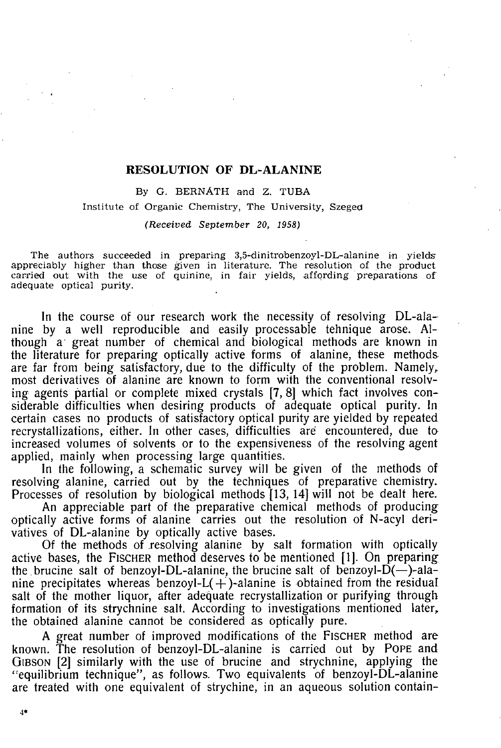#### RESOLUTION OF DL-ALANINE

By G. BERNATH and Z. TUBA **Institute of Organic Chemistry, The University, Szeged** 

*(Received September 20, 1958)* 

**The authors succeeded in preparing 3,5-dinitrobenzoyl-DL-alanine in yields appreciably higher than those given in literature. The resolution of the product carried out with the use of quinine, in fair yields, affording preparations of adequate optical purity.** 

In the course of our research work the necessity of resolving DL-alanine by a well reproducible and easily processable tehnique arose. Although a" great number of chemical and biological methods are known in the literature for preparing optically active forms of alanine, these methods are far from being satisfactory, due to the difficulty of the problem. Namely, most derivatives of alanine are known to form with the conventional resolving agents partial or complete mixed crystals [7, 8] which fact involves considerable difficulties when desiring products of adequate optical purity. In certain cases no products of satisfactory optical purity are yielded by repeated recrystallizations, either. In other cases, difficulties are encountered, due to increased volumes of solvents or to the expensiveness of the resolving agent applied, mainly when processing large quantities.

In the following, a schematic survey will be given of the methods of resolving alanine, carried out by the techniques of preparative chemistry. Processes of resolution by biological methods [13, 14] will not be dealt here.

An appreciable part of the preparative chemical methods of producing optically active forms of alanine carries out the resolution of N-acyl derivatives of DL-alanine by optically active bases.

Of the methods of resolving alanine by salt formation with optically active bases, the FISCHER method deserves to be mentioned [1]. On preparing the brucine salt of benzoyl-DL-alanine, the brucine salt of benzoyl-D( $-$ )-alanine precipitates whereas benzoyl- $L(+)$ -alanine is obtained from the residual salt of the mother liquor, after adequate recrystallization or purifying through formation of its strychnine salt. According to investigations mentioned later, the obtained alanine cannot be considered as optically pure.

A great number of improved modifications of the FISCHER method are known. The resolution of benzoyl-DL-alanine is carried out by POPE and GIBSON [2] similarly with the use of brucine and strychnine, applying the "equilibrium technique", as follows. Two equivalents of benzoyl-DL-alanine are treated with one equivalent of strychine, in an aqueous solution contain-

4\*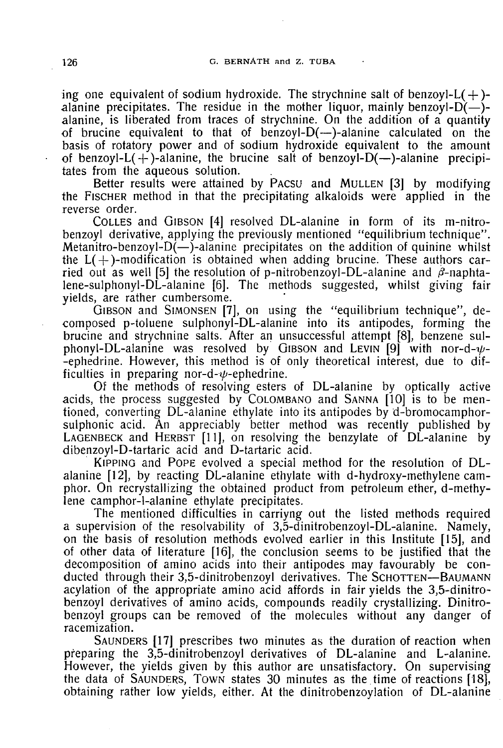ing one equivalent of sodium hydroxide. The strychnine salt of benzoyl-L $(+)$ alanine precipitates. The residue in the mother liquor, mainly benzoyl- $D(-)$ alanine, is liberated from traces of strychnine. On the addition of a quantity of brucine equivalent to that of benzoyl- $D$ (—)-alanine calculated on the basis of rotatory power and of sodium hydroxide equivalent to the amount of benzoyl- $L(+)$ -alanine, the brucine salt of benzoyl- $D(-)$ -alanine precipitates from the aqueous solution.

Better results were attained by PACSU and MULLEN [3] by modifying the FISCHER method in that the precipitating alkaloids were applied in the reverse order.

COLLES and GIBSON [4] resolved DL-alanine in form of its m-nitrobenzoyl derivative, applying the previously mentioned "equilibrium technique". Metanitro-benzoyl- $D(-)$ -alanine precipitates on the addition of quinine whilst the  $L(+)$ -modification is obtained when adding brucine. These authors carried out as well [5] the resolution of p-nitrobenzoyl-DL-alanine and  $\beta$ -naphtalene-sulphonyl-DL-alanine [6]. The methods suggested, whilst giving fair yields, are rather cumbersome.

GIBSON and SIMONSEN [7], on using the "equilibrium technique", decomposed p-toluene sulphonyl-DL-alanine into its antipodes, forming the brucine and strychnine salts. After an unsuccessful attempt [8], benzene sulphonyl-DL-alanine was resolved by GIBSON and LEVIN [9] with nor-d- $\psi$ --ephedrine. However, this method is of only theoretical interest, due to difficulties in preparing nor-d- $\psi$ -ephedrine.

Of the methods of resolving esters of DL-alanine by optically active acids, the process suggested by COLOMBANO and SANNA [10] is to be mentioned, converting DL-alanine ethylate into its antipodes by d-bromocamphorsulphonic acid. An appreciably better method was recently published by LAGENBECK and HERBST [11], on resolving the benzylate of DL-alanine by dibenzoyl-D-tartaric acid and D-tartaric acid.

KIPPING and POPE evolved a special method for the resolution of DLalanine [12], by reacting DL-alanine ethylate with d-hydroxy-methylene camphor. On recrystallizing the obtained product from petroleum ether, d-methylene camphor-l-alanine ethylate precipitates.

The mentioned difficulties in carriyng out the listed methods required a supervision of the resolvability of 3,5-dinitrobenzoyl-DL-alanine. Namely, on the basis of resolution methods evolved earlier in this Institute [15], and of other data of literature [16], the conclusion seems to be justified that the decomposition of amino acids into their antipodes may favourably be conducted through their 3,5-dinitrobenzoyl derivatives. The SCHOTTEN—BAUMANN acylation of the appropriate amino acid affords in fair yields the 3,5-dinitrobenzoyl derivatives of amino acids, compounds readily crystallizing. Dinitrobenzoyl groups can be removed of the molecules without any danger of racemization.

SAUNDERS [17] prescribes two minutes as the duration of reaction when preparing the 3,5-dinitrobenzoyl derivatives of DL-alanine and L-alanine. However, the yields given by this author are unsatisfactory. On supervising the data of SAUNDERS, TOWN states 30 minutes as the time of reactions [18], obtaining rather low yields, either. At the dinitrobenzoylation of DL-alanine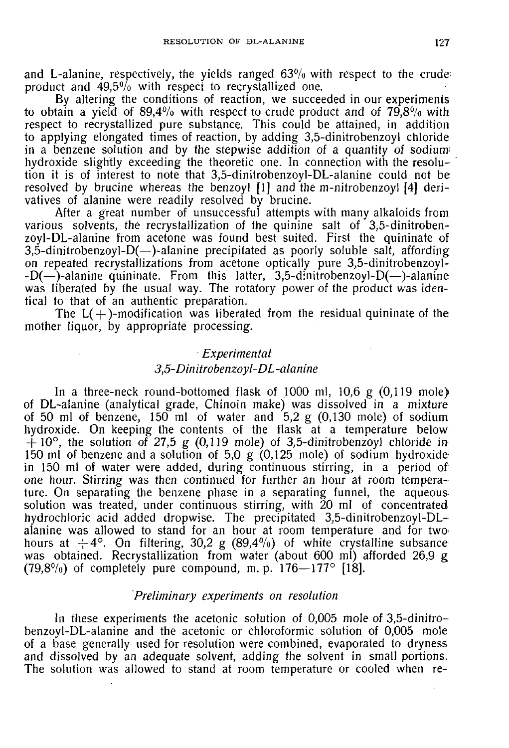and L-alanine, respectively, the yields ranged  $63\%$  with respect to the crude: product and 49.5% with respect to recrystallized one.

By altering the conditions of reaction, we succeeded in our experiments to obtain a yield of  $89,4\%$  with respect to crude product and of  $79,8\%$  with respect to recrystallized pure substance. This could be attained, in addition to applying elongated times of reaction, by adding 3,5-dinitrobenzoyl chloride in a benzene solution and by the stepwise addition of a quantity of sodium; hydroxide slightly exceeding the theoretic one. In connection with the resolution it is of interest to note that 3,5-dinitrobenzoyl-DL-alanine could not be resolved by brucine whereas the benzoyl [1] and the m-nitrobenzoyl [4] derivatives of alanine were readily resolved by brucine.

After a great number of unsuccessful attempts with many alkaloids from various solvents, the recrystallization of the quinine salt of 3,5-dinitrobenzoyl-DL-alanine from acetone was found best suited. First the quininate of 3,5-dinitrobenzoyl-D(—)-alanine precipitated as poorly soluble salt, affording on repeated recrystallizations from acetone optically pure 3,5-dinitrobenzoyl- -D(—)-alanine quininate. From this latter, 3,5-dinitrobenzoyl-D(—)-alanine was liberated by the usual way. The rotatory power of the product was identical to that of an authentic preparation.

The  $L(+)$ -modification was liberated from the residual quininate of the mother liquor, by appropriate processing.

# *Experimental 3,5-Dinitrobenzoyl-DL-alanine*

In a three-neck round-bottomed flask of 1000 ml, 10,6 g (0,119 mole) of DL-alanine (analytical grade, Chinoin make) was dissolved in a mixture of 50 ml of benzene, 150 ml of water and  $5.2 \text{ g}$  (0,130 mole) of sodium hydroxide. On keeping the contents of the flask at a temperature below  $+10^{\circ}$ , the solution of 27,5 g (0,119 mole) of 3,5-dinitrobenzoyl chloride in 150 ml of benzene and a solution of  $5.0 \times (0.125 \text{ mole})$  of sodium hydroxide in 150 ml of water were added, during continuous stirring, in a period of one hour. Stirring was then continued for further an hour at room temperature. On separating the benzene phase in a separating funnel, the aqueous solution was treated, under continuous stirring, with 20 ml of concentrated hydrochloric acid added dropwise. The precipitated 3,5-dinitrobenzoyl-DLalanine was allowed to stand for an hour at room temperature and for two' hours at  $+4^{\circ}$ . On filtering, 30,2 g (89,4%) of white crystalline subsance was obtained. Recrystallization from water (about 600 ml) afforded 26,9 g  $(79,8\%)$  of completely pure compound, m. p.  $176 - 177$ <sup>o</sup> [18].

### *Preliminary experiments on resolution*

In these experiments the acetonic solution of 0,005 mole of 3,5-dinitrobenzoyl-DL-alanine and the acetonic or chloroformic solution of 0,005 mole of a base generally used for resolution were combined, evaporated to dryness and dissolved by an adequate solvent, adding the solvent in small portions. The solution was allowed to stand at room temperature or cooled when re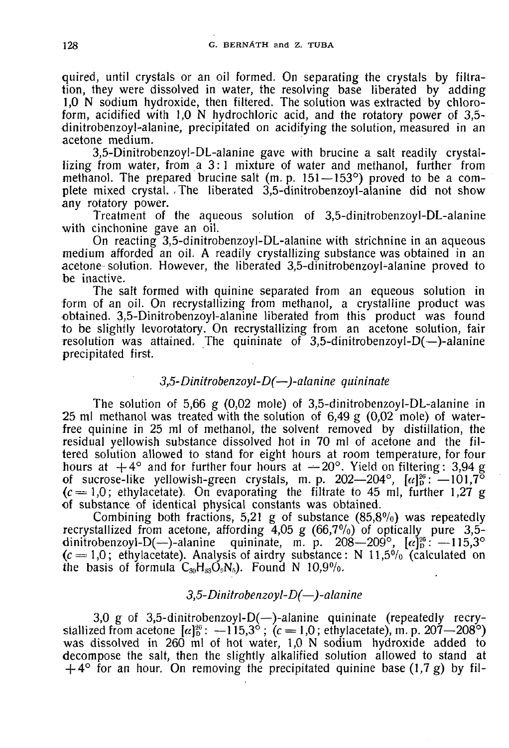quired, until crystals or an oil formed. On separating the crystals by filtration, they were dissolved in water, the resolving base liberated by adding 1,0 N sodium hydroxide, then filtered. The solution was extracted by chloroform, acidified with 1,0 N hydrochloric acid, and the rotatory power of 3,5 dinitrobenzoyl-alanine, precipitated on acidifying the solution, measured in an acetone medium.

3,5-Dinitrobenzoyl-DL-alanine gave with brucine a salt readily crystallizing from water, from a 3:1 mixture of water and methanol, further from methanol. The prepared brucine salt (m. p. 151-153°) proved to be a complete mixed crystal. ,The liberated 3,5-dinitrobenzoyl-alanine did not show any rotatory power.

Treatment of the aqueous solution of 3,5-dinitrobenzoyl-DL-alanine with cinchonine gave an oil.

On reacting 3,5-dinitrobenzoyl-DL-alanine with strichnine in an aqueous medium afforded an oil. A readily crystallizing substance was obtained in an acetone solution. However, the liberated 3,5-dinitrobenzoyl-alanine proved to be inactive.

The salt formed with quinine separated from an equeous solution in form of an oil. On recrystallizing from methanol, a crystalline product was obtained. 3,5-Dinitrobenzoyl-alanine liberated from this product was found to be slightly levorotatory. On recrystallizing from an acetone solution, fair resolution was attained. The quininate of 3,5-dinitrobenzoyI-D(—)-alanine precipitated first.

# *3,5-Dinitrobenzoyl-D(—)-alanine quininate*

The solution of 5,66 g (0,02 mole) of 3,5-dinitrobenzoyl-DL-alanine in 25 ml methanol was treated with the solution of 6,49 g (0,02 mole) of waterfree quinine in 25 ml of methanol, the solvent removed by distillation, the residual yellowish substance dissolved hot in 70 ml of acetone and the filtered solution allowed to stand for eight hours at room temperature, for four hours at  $+4^{\circ}$  and for further four hours at  $-20^{\circ}$ . Yield on filtering: 3,94 g of sucrose-like yellowish-green crystals, m. p.  $202-204^{\circ}$ ,  $\alpha|_{p}^{\infty}$ :  $-101.7^{\circ}$  $(c = 1,0)$ ; ethylacetate). On evaporating the filtrate to 45 ml, further 1,27 g of substance of identical physical constants was obtained.

Combining both fractions, 5,21 g of substance  $(85,8\%)$  was repeatedly recrystallized from acetone, affording 4,05 g (66,7%) of optically pure 3,5dinitrobenzoyl-D(--)-alanine quininate, m. p.  $208-209^{\circ}$ ,  $[\alpha]_0^{26}$ :  $-115,3^{\circ}$  $(c = 1.0;$  ethylacetate). Analysis of airdry substance: N 11,5% (calculated on the basis of formula  $C_{30}H_{33}O_0N_5$ . Found N 10,9%.

## *3,5-Dinitrobenzoyl-D(-)-alanine*

3,0 g of 3,5-dinitrobenzoyl-D(—)-alanine quininate (repeatedly recrystallized from acetone  $[\alpha]_0^{26}$ :  $-115.3^\circ$ ;  $(c = 1.0;$  ethylacetate), m.p. 207-208°) was dissolved in 260 ml of hot water, 1,0 N sodium hydroxide added to decompose the salt, then the slightly alkalified solution allowed to stand at  $+4^{\circ}$  for an hour. On removing the precipitated quinine base (1,7 g) by fil-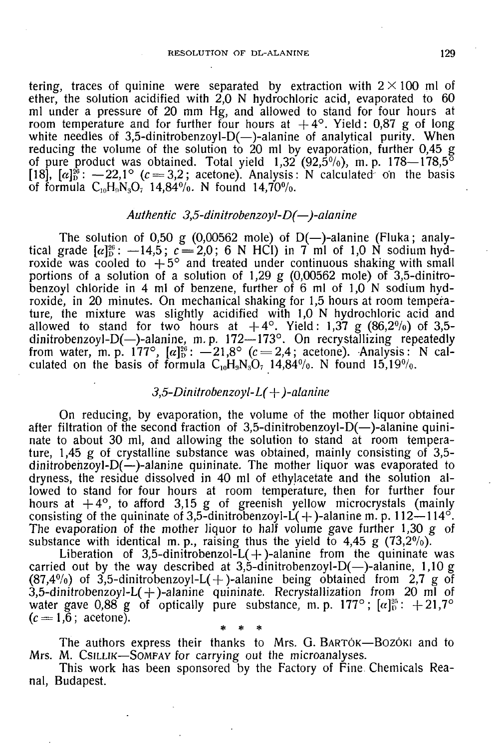tering, traces of quinine were separated by extraction with  $2 \times 100$  ml of ether, the solution acidified with  $2.0 \text{ N}$  hydrochloric acid, evaporated to 60 ml under a pressure of 20 mm Hg, and allowed to stand for four hours at room temperature and for further four hours at  $+4^{\circ}$ . Yield: 0,87 g of long white needles of 3,5-dinitrobenzoyl-D( $-$ )-alanine of analytical purity. When reducing the volume of the solution to 20 ml by evaporation, further 0,45 g of pure product was obtained. Total yield  $1,32$  (92,5%), m. p.  $178-178,5^{\circ}$ [18],  $[\alpha]_D^{28}$ :  $-22.1^\circ$  ( $c = 3.2$ ; acetone). Analysis: N calculated on the basis of formula  $C_{10}H_0N_3O_7$  14,84%. N found 14,70%.

#### *Authentic 3,5-dinitrobenzoyl-D(—)-alanine*

The solution of 0,50 g (0,00562 mole) of  $D(-)$ -alanine (Fluka; analytical grade  $[\alpha]_D^{26}$ :  $-14.5$ ;  $c=2.0$ ; 6 N HCI) in 7 ml of 1.0 N sodium hydroxide was cooled to  $+5^{\circ}$  and treated under continuous shaking with small portions of a solution of a solution of 1,29 g  $(0,00562 \text{ mole})$  of 3,5-dinitrobenzoyl chloride in 4 ml of benzene, further of 6 ml of  $1,0$  N sodium hydroxide, in 20 minutes. On mechanical shaking for 1,5 hours at room temperature, the mixture was slightly acidified with 1,0 N hydrochloric acid and allowed to stand for two hours at  $+4^{\circ}$ . Yield: 1,37 g (86,2%) of 3,5dinitrobenzoyl-D(—)-alanine, m.p. 172—173°. On recrystallizing repeatedly from water, m. p. 177°,  $[\alpha]_0^{26}$ :  $-21.8^\circ$  ( $c = 2.4$ ; acetone). Analysis: N calculated on the basis of formula  $C_{10}H_0N_3O_7$  14,84%. N found 15,19%.

#### *3,5-Dinitrobenzoyl-L( -f )-alanine*

On reducing, by evaporation, the volume of the mother liquor obtained after filtration of the second fraction of 3,5-dinitrobenzoyl- $D(-)$ -alanine quininate to about 30 ml, and allowing the solution to stand at room temperature, 1,45 g of crystalline substance was obtained, mainly consisting of 3,5 dinitrobenzoyl- $D(-)$ -alanine quininate. The mother liquor was evaporated to dryness, the residue dissolved in 40 ml of ethylacetate and the solution allowed to stand for four hours at room temperature, then for further four hours at  $+4^{\circ}$ , to afford 3,15 g of greenish yellow microcrystals (mainly consisting of the quininate of 3,5-dinitrobenzoyi- $\dot{L}(+)$ -alanine m. p. 112-114<sup>o</sup>. The evaporation of the mother liquor to half volume gave further 1,30 g of substance with identical m.p., raising thus the yield to 4,45 g  $(73,2\%)$ .

Liberation of 3,5-dinitrobenzol-L $(+)$ -alanine from the quininate was carried out by the way described at 3,5-dinitrobenzoyl-D(-)-alanine, 1,10 g (87,4%) of 3,5-dinitrobenzoyl-L(+)-alanine being obtained from 2,7 g of 3,5-dinitrobenzoyl-L(+)-alanine quininate. Recrystallization from 20 ml of water gave 0,88 g of optically pure substance, m.p. 177°;  $\lbrack \alpha \rbrack^2$ :  $+21.7^\circ$  $(c = 1.\overline{6}$ ; acetone). \* \* \*

The authors express their thanks to Mrs. G. BARTOK-BOZOKI and to Mrs. M. CSILLIK—SOMFAY for carrying out the microanalyses.

This work has been sponsored by the Factory of Fine Chemicals Reanal, Budapest.